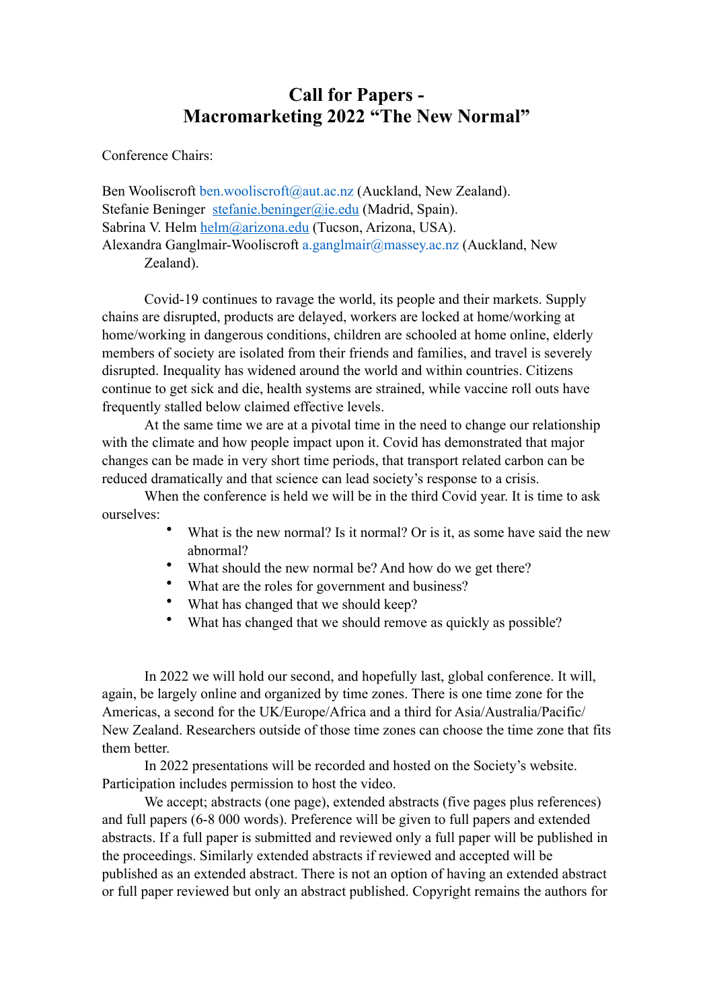# **Call for Papers - Macromarketing 2022 "The New Normal"**

Conference Chairs:

Ben Wooliscroft ben.wooliscroft@aut.ac.nz (Auckland, New Zealand). Stefanie Beninger [stefanie.beninger@ie.edu](mailto:stefanie.beninger@ie.edu) (Madrid, Spain). Sabrina V. Helm [helm@arizona.edu](mailto:helm@arizona.edu) (Tucson, Arizona, USA). Alexandra Ganglmair-Wooliscroft a.ganglmair@massey.ac.nz (Auckland, New Zealand).

Covid-19 continues to ravage the world, its people and their markets. Supply chains are disrupted, products are delayed, workers are locked at home/working at home/working in dangerous conditions, children are schooled at home online, elderly members of society are isolated from their friends and families, and travel is severely disrupted. Inequality has widened around the world and within countries. Citizens continue to get sick and die, health systems are strained, while vaccine roll outs have frequently stalled below claimed effective levels.

At the same time we are at a pivotal time in the need to change our relationship with the climate and how people impact upon it. Covid has demonstrated that major changes can be made in very short time periods, that transport related carbon can be reduced dramatically and that science can lead society's response to a crisis.

When the conference is held we will be in the third Covid year. It is time to ask ourselves:

- What is the new normal? Is it normal? Or is it, as some have said the new abnormal?
- What should the new normal be? And how do we get there?
- What are the roles for government and business?
- What has changed that we should keep?
- What has changed that we should remove as quickly as possible?

In 2022 we will hold our second, and hopefully last, global conference. It will, again, be largely online and organized by time zones. There is one time zone for the Americas, a second for the UK/Europe/Africa and a third for Asia/Australia/Pacific/ New Zealand. Researchers outside of those time zones can choose the time zone that fits them better.

In 2022 presentations will be recorded and hosted on the Society's website. Participation includes permission to host the video.

We accept; abstracts (one page), extended abstracts (five pages plus references) and full papers (6-8 000 words). Preference will be given to full papers and extended abstracts. If a full paper is submitted and reviewed only a full paper will be published in the proceedings. Similarly extended abstracts if reviewed and accepted will be published as an extended abstract. There is not an option of having an extended abstract or full paper reviewed but only an abstract published. Copyright remains the authors for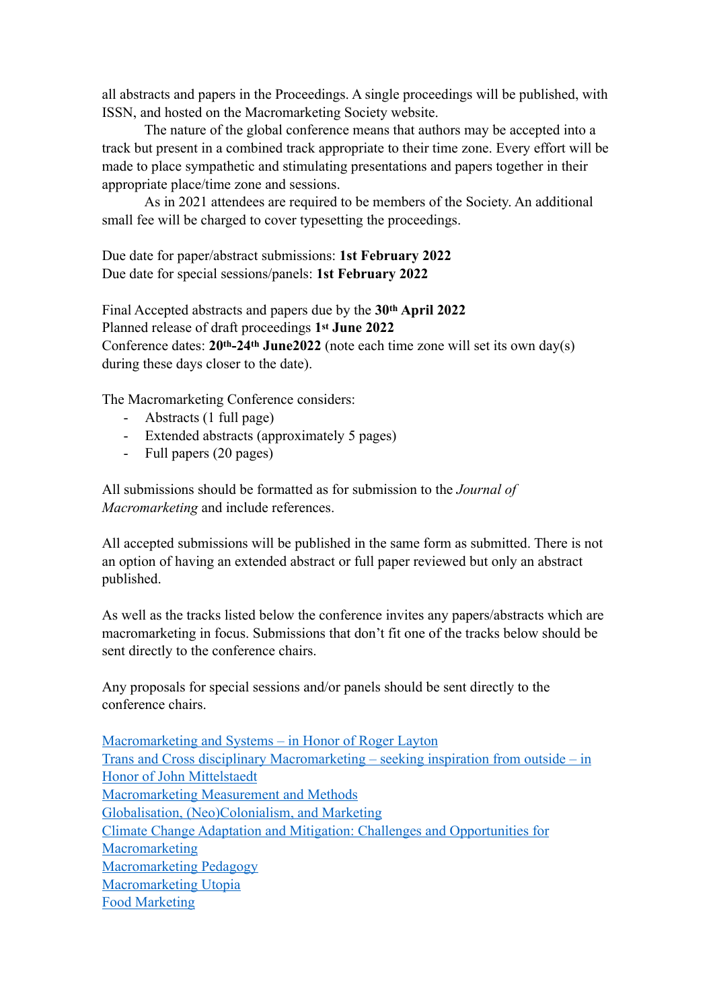all abstracts and papers in the Proceedings. A single proceedings will be published, with ISSN, and hosted on the Macromarketing Society website.

The nature of the global conference means that authors may be accepted into a track but present in a combined track appropriate to their time zone. Every effort will be made to place sympathetic and stimulating presentations and papers together in their appropriate place/time zone and sessions.

As in 2021 attendees are required to be members of the Society. An additional small fee will be charged to cover typesetting the proceedings.

Due date for paper/abstract submissions: **1st February 2022** Due date for special sessions/panels: **1st February 2022**

Final Accepted abstracts and papers due by the **30th April 2022** Planned release of draft proceedings **1st June 2022** Conference dates: **20th-24th June2022** (note each time zone will set its own day(s) during these days closer to the date).

The Macromarketing Conference considers:

- Abstracts (1 full page)
- Extended abstracts (approximately 5 pages)
- Full papers (20 pages)

All submissions should be formatted as for submission to the *Journal of Macromarketing* and include references.

All accepted submissions will be published in the same form as submitted. There is not an option of having an extended abstract or full paper reviewed but only an abstract published.

As well as the tracks listed below the conference invites any papers/abstracts which are macromarketing in focus. Submissions that don't fit one of the tracks below should be sent directly to the conference chairs.

Any proposals for special sessions and/or panels should be sent directly to the conference chairs.

Macromarketing and Systems – in Honor of Roger Layton [Trans and Cross disciplinary Macromarketing – seeking inspiration from outside – in](#page-2-0)  [Honor of John Mittelstaedt](#page-2-0) [Macromarketing Measurement and Methods](#page-2-1) [Globalisation, \(Neo\)Colonialism, and Marketing](#page-3-0) [Climate Change Adaptation and Mitigation: Challenges and Opportunities for](#page-4-0)  **[Macromarketing](#page-4-0)** [Macromarketing Pedagogy](#page-6-0) [Macromarketing Utopia](#page-6-1) [Food Marketing](#page-8-0)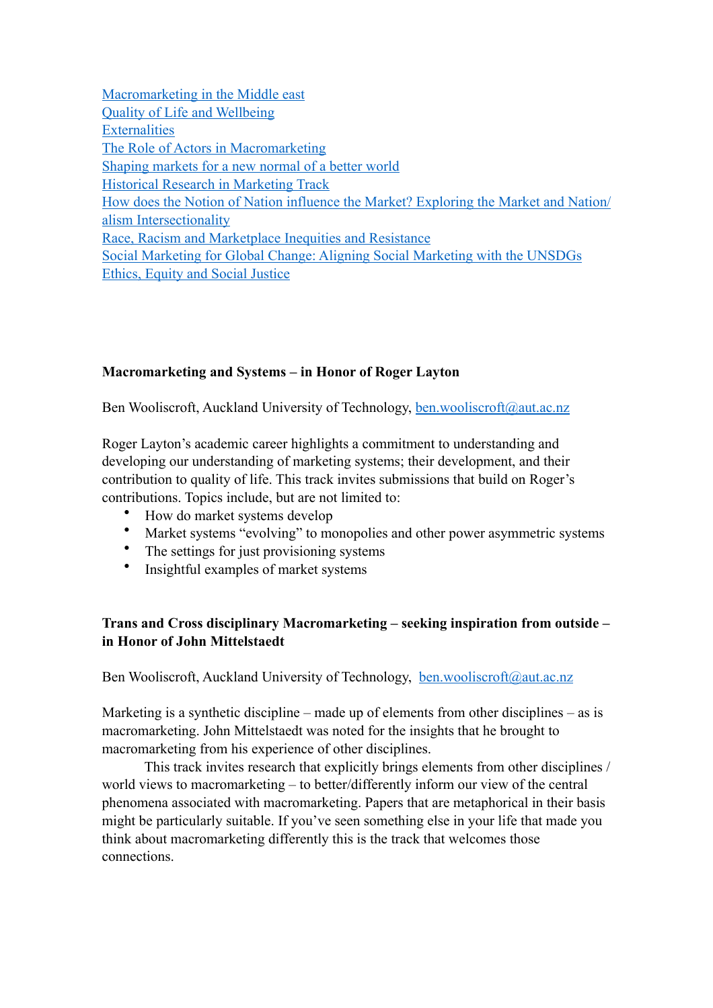[Macromarketing in the Middle east](#page-10-0) [Quality of Life and Wellbeing](#page-11-0) [Externalities](#page-11-1) [The Role of Actors in Macromarketing](#page-12-0) [Shaping markets for a new normal of a better world](#page-14-0) [Historical Research in Marketing Track](#page-15-0) [How does the Notion of Nation influence the Market? Exploring the Market and Nation/](#page-18-0) [alism Intersectionality](#page-18-0) [Race, Racism and Marketplace Inequities and Resistance](#page-18-1) [Social Marketing for Global Change: Aligning Social Marketing with the UNSDGs](#page-20-0) [Ethics, Equity and Social Justice](#page-21-0)

# <span id="page-2-1"></span>**Macromarketing and Systems – in Honor of Roger Layton**

Ben Wooliscroft, Auckland University of Technology, [ben.wooliscroft@aut.ac.nz](mailto:ben.wooliscroft@aut.ac.nz)

Roger Layton's academic career highlights a commitment to understanding and developing our understanding of marketing systems; their development, and their contribution to quality of life. This track invites submissions that build on Roger's contributions. Topics include, but are not limited to:

- How do market systems develop
- Market systems "evolving" to monopolies and other power asymmetric systems
- The settings for just provisioning systems
- Insightful examples of market systems

# <span id="page-2-0"></span>**Trans and Cross disciplinary Macromarketing – seeking inspiration from outside – in Honor of John Mittelstaedt**

Ben Wooliscroft, Auckland University of Technology, [ben.wooliscroft@aut.ac.nz](mailto:ben.wooliscroft@aut.ac.nz)

Marketing is a synthetic discipline – made up of elements from other disciplines – as is macromarketing. John Mittelstaedt was noted for the insights that he brought to macromarketing from his experience of other disciplines.

This track invites research that explicitly brings elements from other disciplines / world views to macromarketing – to better/differently inform our view of the central phenomena associated with macromarketing. Papers that are metaphorical in their basis might be particularly suitable. If you've seen something else in your life that made you think about macromarketing differently this is the track that welcomes those connections.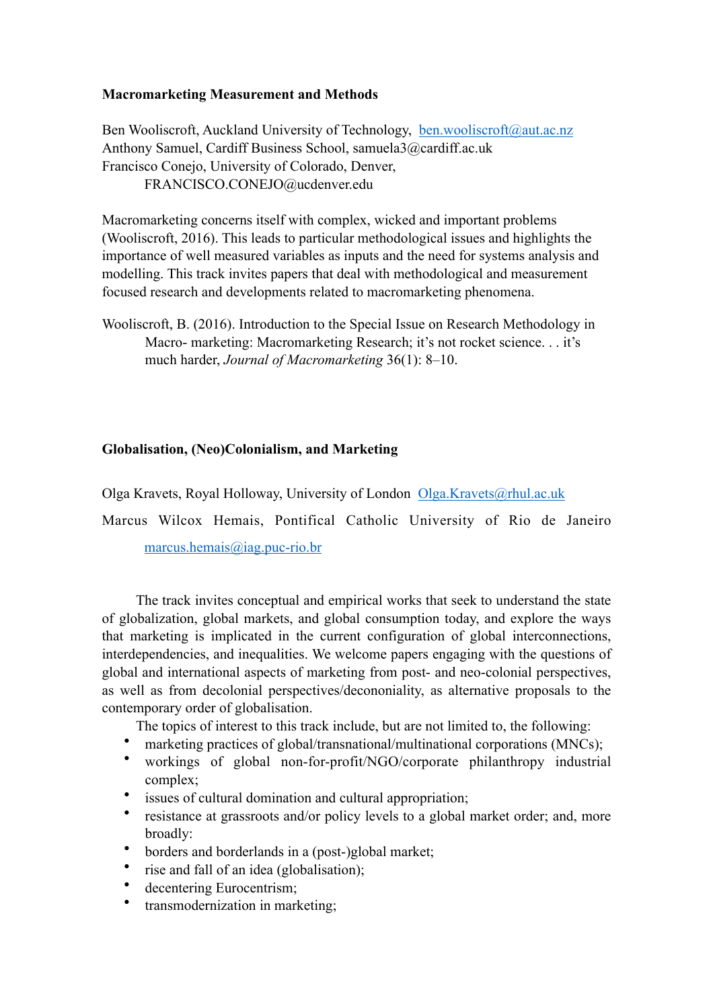### **Macromarketing Measurement and Methods**

Ben Wooliscroft, Auckland University of Technology, [ben.wooliscroft@aut.ac.nz](mailto:ben.wooliscroft@aut.ac.nz) Anthony Samuel, Cardiff Business School, samuela3@cardiff.ac.uk Francisco Conejo, University of Colorado, Denver, FRANCISCO.CONEJO@ucdenver.edu

Macromarketing concerns itself with complex, wicked and important problems (Wooliscroft, 2016). This leads to particular methodological issues and highlights the importance of well measured variables as inputs and the need for systems analysis and modelling. This track invites papers that deal with methodological and measurement focused research and developments related to macromarketing phenomena.

Wooliscroft, B. (2016). Introduction to the Special Issue on Research Methodology in Macro- marketing: Macromarketing Research; it's not rocket science. . . it's much harder, *Journal of Macromarketing* 36(1): 8–10.

### <span id="page-3-0"></span>**Globalisation, (Neo)Colonialism, and Marketing**

Olga Kravets, Royal Holloway, University of London [Olga.Kravets@rhul.ac.uk](mailto:Olga.Kravets@rhul.ac.uk)

Marcus Wilcox Hemais, Pontifical Catholic University of Rio de Janeiro

[marcus.hemais@iag.puc-rio.br](mailto:marcus.hemais@iag.puc-rio.br)

The track invites conceptual and empirical works that seek to understand the state of globalization, global markets, and global consumption today, and explore the ways that marketing is implicated in the current configuration of global interconnections, interdependencies, and inequalities. We welcome papers engaging with the questions of global and international aspects of marketing from post- and neo-colonial perspectives, as well as from decolonial perspectives/decononiality, as alternative proposals to the contemporary order of globalisation.

The topics of interest to this track include, but are not limited to, the following:

- marketing practices of global/transnational/multinational corporations (MNCs);
- workings of global non-for-profit/NGO/corporate philanthropy industrial complex;
- issues of cultural domination and cultural appropriation;
- resistance at grassroots and/or policy levels to a global market order; and, more broadly:
- borders and borderlands in a (post-)global market;
- rise and fall of an idea (globalisation);
- decentering Eurocentrism;
- transmodernization in marketing;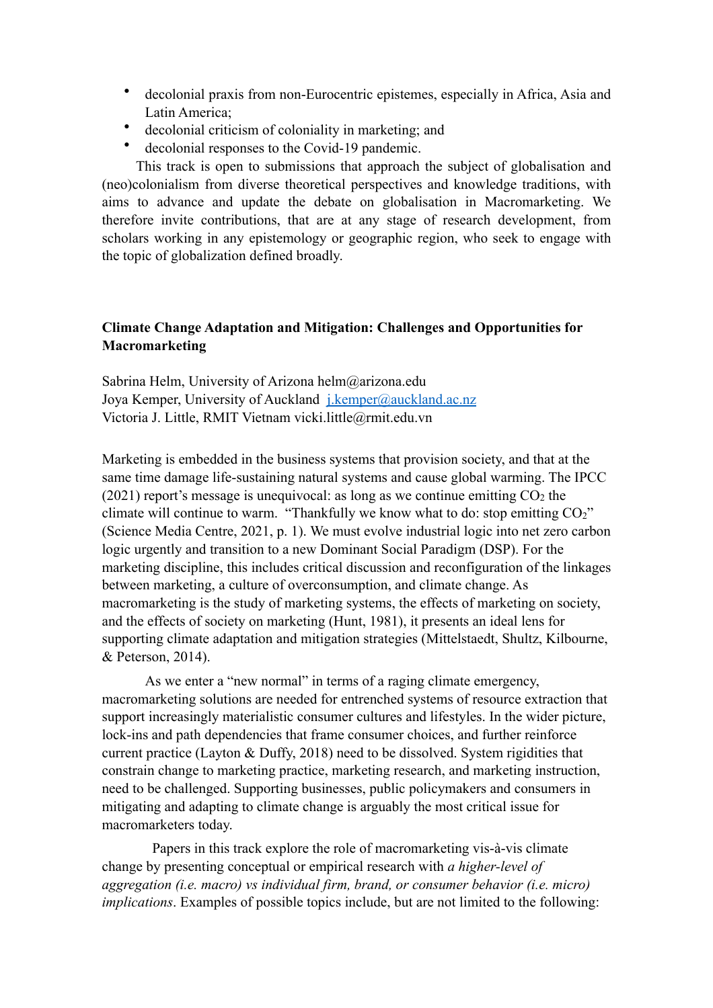- decolonial praxis from non-Eurocentric epistemes, especially in Africa, Asia and Latin America;
- decolonial criticism of coloniality in marketing; and
- decolonial responses to the Covid-19 pandemic.

This track is open to submissions that approach the subject of globalisation and (neo)colonialism from diverse theoretical perspectives and knowledge traditions, with aims to advance and update the debate on globalisation in Macromarketing. We therefore invite contributions, that are at any stage of research development, from scholars working in any epistemology or geographic region, who seek to engage with the topic of globalization defined broadly.

# <span id="page-4-0"></span>**Climate Change Adaptation and Mitigation: Challenges and Opportunities for Macromarketing**

Sabrina Helm, University of Arizona helm@arizona.edu Joya Kemper, University of Auckland *[j.kemper@auckland.ac.nz](mailto:j.kemper@auckland.ac.nz)* Victoria J. Little, RMIT Vietnam vicki.little@rmit.edu.vn

Marketing is embedded in the business systems that provision society, and that at the same time damage life-sustaining natural systems and cause global warming. The IPCC (2021) report's message is unequivocal: as long as we continue emitting  $CO<sub>2</sub>$  the climate will continue to warm. "Thankfully we know what to do: stop emitting  $CO<sub>2</sub>$ " (Science Media Centre, 2021, p. 1). We must evolve industrial logic into net zero carbon logic urgently and transition to a new Dominant Social Paradigm (DSP). For the marketing discipline, this includes critical discussion and reconfiguration of the linkages between marketing, a culture of overconsumption, and climate change. As macromarketing is the study of marketing systems, the effects of marketing on society, and the effects of society on marketing (Hunt, 1981), it presents an ideal lens for supporting climate adaptation and mitigation strategies (Mittelstaedt, Shultz, Kilbourne, & Peterson, 2014).

As we enter a "new normal" in terms of a raging climate emergency, macromarketing solutions are needed for entrenched systems of resource extraction that support increasingly materialistic consumer cultures and lifestyles. In the wider picture, lock-ins and path dependencies that frame consumer choices, and further reinforce current practice (Layton & Duffy, 2018) need to be dissolved. System rigidities that constrain change to marketing practice, marketing research, and marketing instruction, need to be challenged. Supporting businesses, public policymakers and consumers in mitigating and adapting to climate change is arguably the most critical issue for macromarketers today.

 Papers in this track explore the role of macromarketing vis-à-vis climate change by presenting conceptual or empirical research with *a higher-level of aggregation (i.e. macro) vs individual firm, brand, or consumer behavior (i.e. micro) implications*. Examples of possible topics include, but are not limited to the following: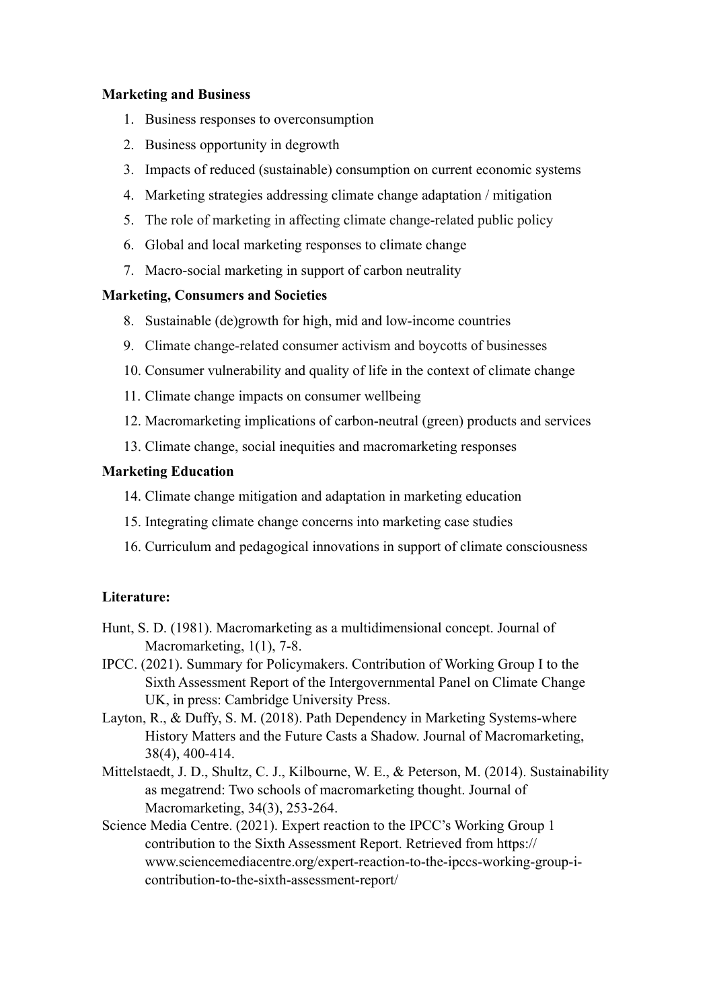### **Marketing and Business**

- 1. Business responses to overconsumption
- 2. Business opportunity in degrowth
- 3. Impacts of reduced (sustainable) consumption on current economic systems
- 4. Marketing strategies addressing climate change adaptation / mitigation
- 5. The role of marketing in affecting climate change-related public policy
- 6. Global and local marketing responses to climate change
- 7. Macro-social marketing in support of carbon neutrality

### **Marketing, Consumers and Societies**

- 8. Sustainable (de)growth for high, mid and low-income countries
- 9. Climate change-related consumer activism and boycotts of businesses
- 10. Consumer vulnerability and quality of life in the context of climate change
- 11. Climate change impacts on consumer wellbeing
- 12. Macromarketing implications of carbon-neutral (green) products and services
- 13. Climate change, social inequities and macromarketing responses

# **Marketing Education**

- 14. Climate change mitigation and adaptation in marketing education
- 15. Integrating climate change concerns into marketing case studies
- 16. Curriculum and pedagogical innovations in support of climate consciousness

# **Literature:**

- Hunt, S. D. (1981). Macromarketing as a multidimensional concept. Journal of Macromarketing, 1(1), 7-8.
- IPCC. (2021). Summary for Policymakers. Contribution of Working Group I to the Sixth Assessment Report of the Intergovernmental Panel on Climate Change UK, in press: Cambridge University Press.
- Layton, R., & Duffy, S. M. (2018). Path Dependency in Marketing Systems-where History Matters and the Future Casts a Shadow. Journal of Macromarketing, 38(4), 400-414.
- Mittelstaedt, J. D., Shultz, C. J., Kilbourne, W. E., & Peterson, M. (2014). Sustainability as megatrend: Two schools of macromarketing thought. Journal of Macromarketing, 34(3), 253-264.
- Science Media Centre. (2021). Expert reaction to the IPCC's Working Group 1 contribution to the Sixth Assessment Report. Retrieved from https:// www.sciencemediacentre.org/expert-reaction-to-the-ipccs-working-group-icontribution-to-the-sixth-assessment-report/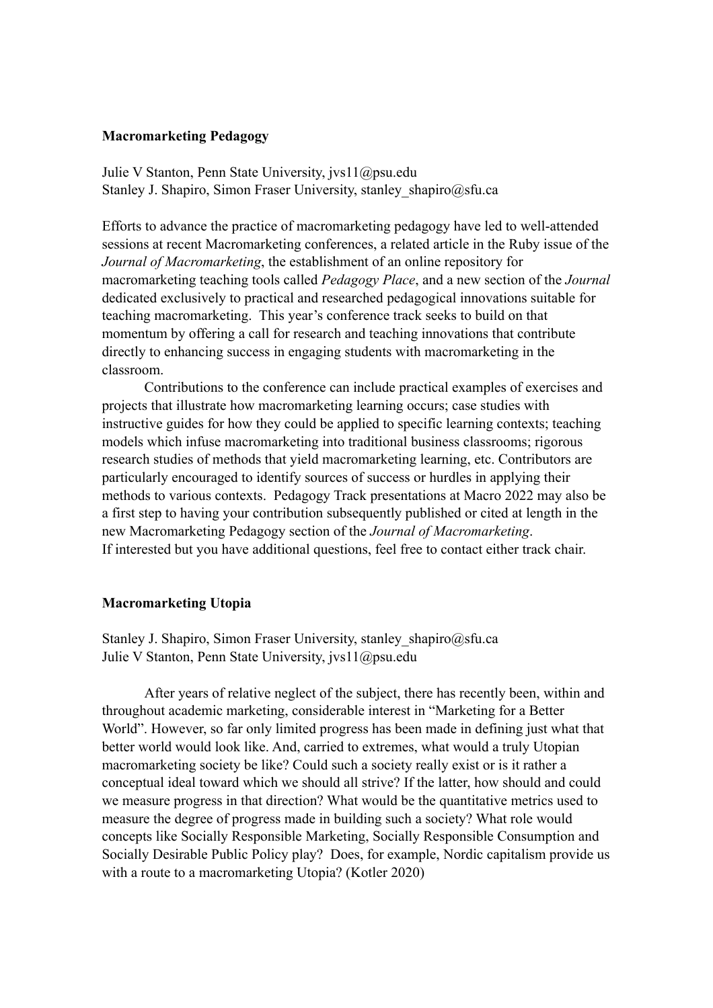#### <span id="page-6-0"></span>**Macromarketing Pedagogy**

Julie V Stanton, Penn State University, jvs11@psu.edu Stanley J. Shapiro, Simon Fraser University, stanley shapiro@sfu.ca

Efforts to advance the practice of macromarketing pedagogy have led to well-attended sessions at recent Macromarketing conferences, a related article in the Ruby issue of the *Journal of Macromarketing*, the establishment of an online repository for macromarketing teaching tools called *Pedagogy Place*, and a new section of the *Journal* dedicated exclusively to practical and researched pedagogical innovations suitable for teaching macromarketing. This year's conference track seeks to build on that momentum by offering a call for research and teaching innovations that contribute directly to enhancing success in engaging students with macromarketing in the classroom.

Contributions to the conference can include practical examples of exercises and projects that illustrate how macromarketing learning occurs; case studies with instructive guides for how they could be applied to specific learning contexts; teaching models which infuse macromarketing into traditional business classrooms; rigorous research studies of methods that yield macromarketing learning, etc. Contributors are particularly encouraged to identify sources of success or hurdles in applying their methods to various contexts. Pedagogy Track presentations at Macro 2022 may also be a first step to having your contribution subsequently published or cited at length in the new Macromarketing Pedagogy section of the *Journal of Macromarketing*. If interested but you have additional questions, feel free to contact either track chair.

#### <span id="page-6-1"></span>**Macromarketing Utopia**

Stanley J. Shapiro, Simon Fraser University, stanley shapiro@sfu.ca Julie V Stanton, Penn State University, jvs11@psu.edu

After years of relative neglect of the subject, there has recently been, within and throughout academic marketing, considerable interest in "Marketing for a Better World". However, so far only limited progress has been made in defining just what that better world would look like. And, carried to extremes, what would a truly Utopian macromarketing society be like? Could such a society really exist or is it rather a conceptual ideal toward which we should all strive? If the latter, how should and could we measure progress in that direction? What would be the quantitative metrics used to measure the degree of progress made in building such a society? What role would concepts like Socially Responsible Marketing, Socially Responsible Consumption and Socially Desirable Public Policy play? Does, for example, Nordic capitalism provide us with a route to a macromarketing Utopia? (Kotler 2020)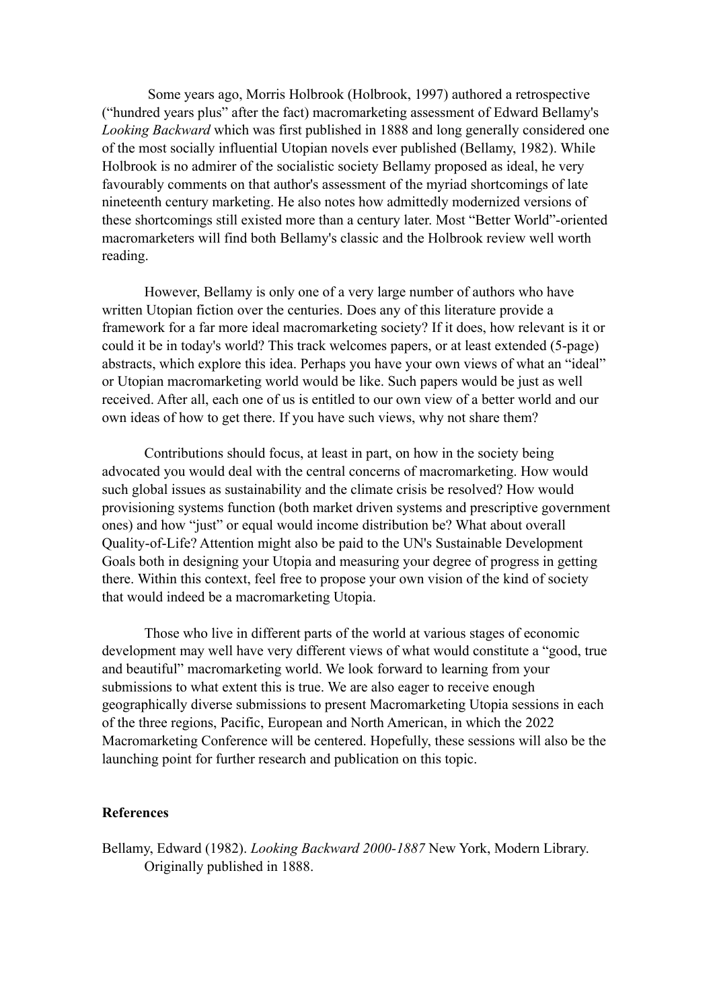Some years ago, Morris Holbrook (Holbrook, 1997) authored a retrospective ("hundred years plus" after the fact) macromarketing assessment of Edward Bellamy's *Looking Backward* which was first published in 1888 and long generally considered one of the most socially influential Utopian novels ever published (Bellamy, 1982). While Holbrook is no admirer of the socialistic society Bellamy proposed as ideal, he very favourably comments on that author's assessment of the myriad shortcomings of late nineteenth century marketing. He also notes how admittedly modernized versions of these shortcomings still existed more than a century later. Most "Better World"-oriented macromarketers will find both Bellamy's classic and the Holbrook review well worth reading.

However, Bellamy is only one of a very large number of authors who have written Utopian fiction over the centuries. Does any of this literature provide a framework for a far more ideal macromarketing society? If it does, how relevant is it or could it be in today's world? This track welcomes papers, or at least extended (5-page) abstracts, which explore this idea. Perhaps you have your own views of what an "ideal" or Utopian macromarketing world would be like. Such papers would be just as well received. After all, each one of us is entitled to our own view of a better world and our own ideas of how to get there. If you have such views, why not share them?

Contributions should focus, at least in part, on how in the society being advocated you would deal with the central concerns of macromarketing. How would such global issues as sustainability and the climate crisis be resolved? How would provisioning systems function (both market driven systems and prescriptive government ones) and how "just" or equal would income distribution be? What about overall Quality-of-Life? Attention might also be paid to the UN's Sustainable Development Goals both in designing your Utopia and measuring your degree of progress in getting there. Within this context, feel free to propose your own vision of the kind of society that would indeed be a macromarketing Utopia.

Those who live in different parts of the world at various stages of economic development may well have very different views of what would constitute a "good, true and beautiful" macromarketing world. We look forward to learning from your submissions to what extent this is true. We are also eager to receive enough geographically diverse submissions to present Macromarketing Utopia sessions in each of the three regions, Pacific, European and North American, in which the 2022 Macromarketing Conference will be centered. Hopefully, these sessions will also be the launching point for further research and publication on this topic.

#### **References**

Bellamy, Edward (1982). *Looking Backward 2000-1887* New York, Modern Library. Originally published in 1888.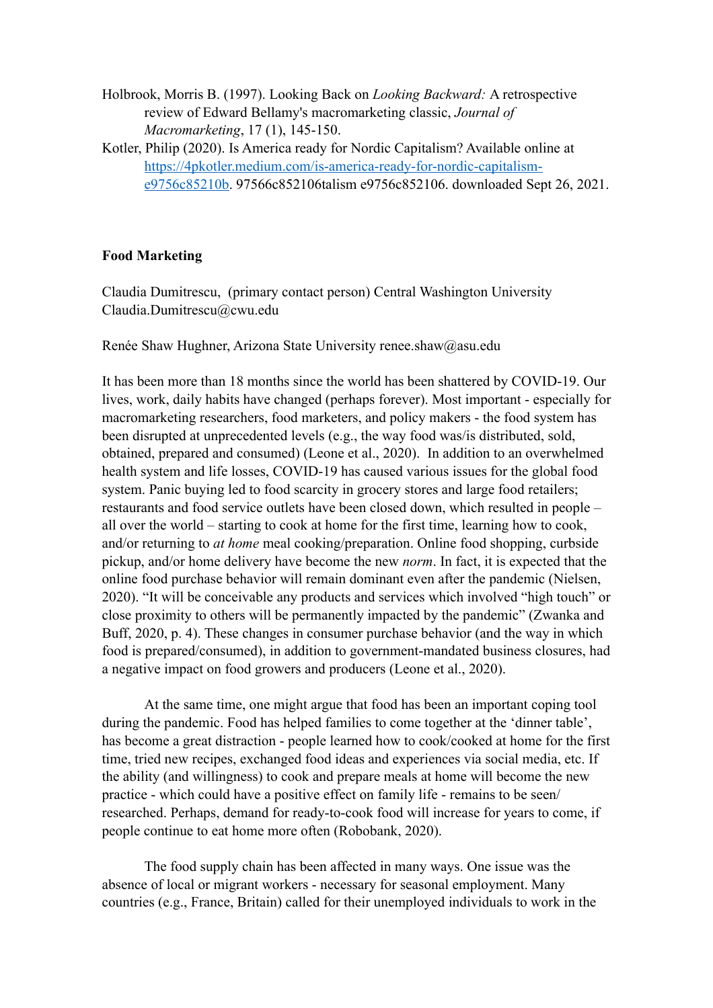- Holbrook, Morris B. (1997). Looking Back on *Looking Backward:* A retrospective review of Edward Bellamy's macromarketing classic, *Journal of Macromarketing*, 17 (1), 145-150.
- Kotler, Philip (2020). Is America ready for Nordic Capitalism? Available online at [https://4pkotler.medium.com/is-america-ready-for-nordic-capitalism](https://4pkotler.medium.com/is-america-ready-for-nordic-capitalism-e9756c85210b)[e9756c85210b](https://4pkotler.medium.com/is-america-ready-for-nordic-capitalism-e9756c85210b). 97566c852106talism e9756c852106. downloaded Sept 26, 2021.

### <span id="page-8-0"></span>**Food Marketing**

Claudia Dumitrescu, (primary contact person) Central Washington University Claudia.Dumitrescu@cwu.edu

Renée Shaw Hughner, Arizona State University renee.shaw@asu.edu

It has been more than 18 months since the world has been shattered by COVID-19. Our lives, work, daily habits have changed (perhaps forever). Most important - especially for macromarketing researchers, food marketers, and policy makers - the food system has been disrupted at unprecedented levels (e.g., the way food was/is distributed, sold, obtained, prepared and consumed) (Leone et al., 2020). In addition to an overwhelmed health system and life losses, COVID-19 has caused various issues for the global food system. Panic buying led to food scarcity in grocery stores and large food retailers; restaurants and food service outlets have been closed down, which resulted in people – all over the world – starting to cook at home for the first time, learning how to cook, and/or returning to *at home* meal cooking/preparation. Online food shopping, curbside pickup, and/or home delivery have become the new *norm*. In fact, it is expected that the online food purchase behavior will remain dominant even after the pandemic (Nielsen, 2020). "It will be conceivable any products and services which involved "high touch" or close proximity to others will be permanently impacted by the pandemic" (Zwanka and Buff, 2020, p. 4). These changes in consumer purchase behavior (and the way in which food is prepared/consumed), in addition to government-mandated business closures, had a negative impact on food growers and producers (Leone et al., 2020).

At the same time, one might argue that food has been an important coping tool during the pandemic. Food has helped families to come together at the 'dinner table', has become a great distraction - people learned how to cook/cooked at home for the first time, tried new recipes, exchanged food ideas and experiences via social media, etc. If the ability (and willingness) to cook and prepare meals at home will become the new practice - which could have a positive effect on family life - remains to be seen/ researched. Perhaps, demand for ready-to-cook food will increase for years to come, if people continue to eat home more often (Robobank, 2020).

The food supply chain has been affected in many ways. One issue was the absence of local or migrant workers - necessary for seasonal employment. Many countries (e.g., France, Britain) called for their unemployed individuals to work in the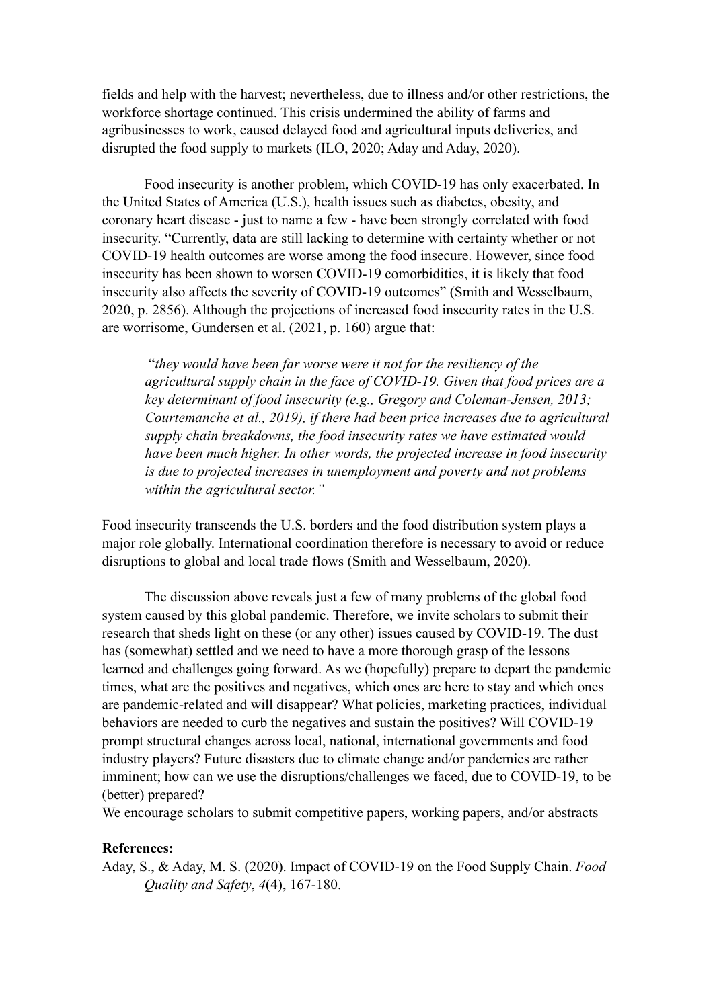fields and help with the harvest; nevertheless, due to illness and/or other restrictions, the workforce shortage continued. This crisis undermined the ability of farms and agribusinesses to work, caused delayed food and agricultural inputs deliveries, and disrupted the food supply to markets (ILO, 2020; Aday and Aday, 2020).

Food insecurity is another problem, which COVID-19 has only exacerbated. In the United States of America (U.S.), health issues such as diabetes, obesity, and coronary heart disease - just to name a few - have been strongly correlated with food insecurity. "Currently, data are still lacking to determine with certainty whether or not COVID-19 health outcomes are worse among the food insecure. However, since food insecurity has been shown to worsen COVID-19 comorbidities, it is likely that food insecurity also affects the severity of COVID-19 outcomes" (Smith and Wesselbaum, 2020, p. 2856). Although the projections of increased food insecurity rates in the U.S. are worrisome, Gundersen et al. (2021, p. 160) argue that:

"*they would have been far worse were it not for the resiliency of the agricultural supply chain in the face of COVID-19. Given that food prices are a key determinant of food insecurity (e.g., Gregory and Coleman-Jensen, 2013; Courtemanche et al., 2019), if there had been price increases due to agricultural supply chain breakdowns, the food insecurity rates we have estimated would have been much higher. In other words, the projected increase in food insecurity is due to projected increases in unemployment and poverty and not problems within the agricultural sector."*

Food insecurity transcends the U.S. borders and the food distribution system plays a major role globally. International coordination therefore is necessary to avoid or reduce disruptions to global and local trade flows (Smith and Wesselbaum, 2020).

The discussion above reveals just a few of many problems of the global food system caused by this global pandemic. Therefore, we invite scholars to submit their research that sheds light on these (or any other) issues caused by COVID-19. The dust has (somewhat) settled and we need to have a more thorough grasp of the lessons learned and challenges going forward. As we (hopefully) prepare to depart the pandemic times, what are the positives and negatives, which ones are here to stay and which ones are pandemic-related and will disappear? What policies, marketing practices, individual behaviors are needed to curb the negatives and sustain the positives? Will COVID-19 prompt structural changes across local, national, international governments and food industry players? Future disasters due to climate change and/or pandemics are rather imminent; how can we use the disruptions/challenges we faced, due to COVID-19, to be (better) prepared?

We encourage scholars to submit competitive papers, working papers, and/or abstracts

#### **References:**

Aday, S., & Aday, M. S. (2020). Impact of COVID-19 on the Food Supply Chain. *Food Quality and Safety*, *4*(4), 167-180.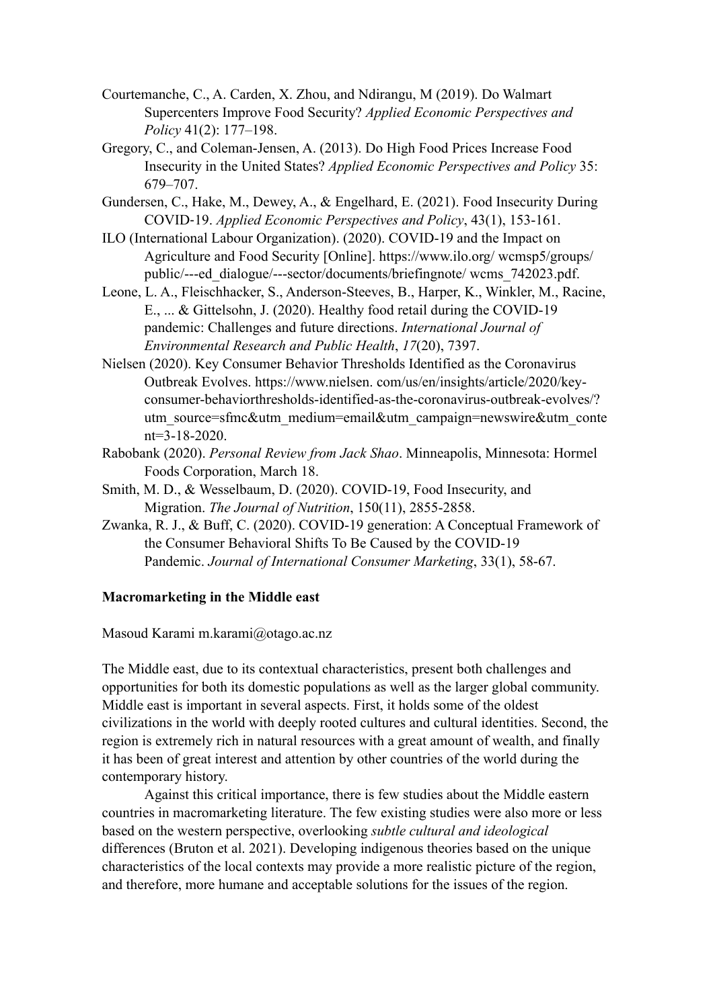- Courtemanche, C., A. Carden, X. Zhou, and Ndirangu, M (2019). Do Walmart Supercenters Improve Food Security? *Applied Economic Perspectives and Policy* 41(2): 177–198.
- Gregory, C., and Coleman-Jensen, A. (2013). Do High Food Prices Increase Food Insecurity in the United States? *Applied Economic Perspectives and Policy* 35: 679–707.
- Gundersen, C., Hake, M., Dewey, A., & Engelhard, E. (2021). Food Insecurity During COVID-19. *Applied Economic Perspectives and Policy*, 43(1), 153-161.
- ILO (International Labour Organization). (2020). COVID-19 and the Impact on Agriculture and Food Security [Online]. https://www.ilo.org/ wcmsp5/groups/ public/---ed\_dialogue/---sector/documents/briefingnote/ wcms\_742023.pdf.
- Leone, L. A., Fleischhacker, S., Anderson-Steeves, B., Harper, K., Winkler, M., Racine, E., ... & Gittelsohn, J. (2020). Healthy food retail during the COVID-19 pandemic: Challenges and future directions. *International Journal of Environmental Research and Public Health*, *17*(20), 7397.
- Nielsen (2020). Key Consumer Behavior Thresholds Identified as the Coronavirus Outbreak Evolves. https://www.nielsen. com/us/en/insights/article/2020/keyconsumer-behaviorthresholds-identified-as-the-coronavirus-outbreak-evolves/? utm\_source=sfmc&utm\_medium=email&utm\_campaign=newswire&utm\_conte nt=3-18-2020.
- Rabobank (2020). *Personal Review from Jack Shao*. Minneapolis, Minnesota: Hormel Foods Corporation, March 18.
- Smith, M. D., & Wesselbaum, D. (2020). COVID-19, Food Insecurity, and Migration. *The Journal of Nutrition*, 150(11), 2855-2858.
- Zwanka, R. J., & Buff, C. (2020). COVID-19 generation: A Conceptual Framework of the Consumer Behavioral Shifts To Be Caused by the COVID-19 Pandemic. *Journal of International Consumer Marketing*, 33(1), 58-67.

### <span id="page-10-0"></span>**Macromarketing in the Middle east**

Masoud Karami m.karami@otago.ac.nz

The Middle east, due to its contextual characteristics, present both challenges and opportunities for both its domestic populations as well as the larger global community. Middle east is important in several aspects. First, it holds some of the oldest civilizations in the world with deeply rooted cultures and cultural identities. Second, the region is extremely rich in natural resources with a great amount of wealth, and finally it has been of great interest and attention by other countries of the world during the contemporary history.

Against this critical importance, there is few studies about the Middle eastern countries in macromarketing literature. The few existing studies were also more or less based on the western perspective, overlooking *subtle cultural and ideological* differences (Bruton et al. 2021). Developing indigenous theories based on the unique characteristics of the local contexts may provide a more realistic picture of the region, and therefore, more humane and acceptable solutions for the issues of the region.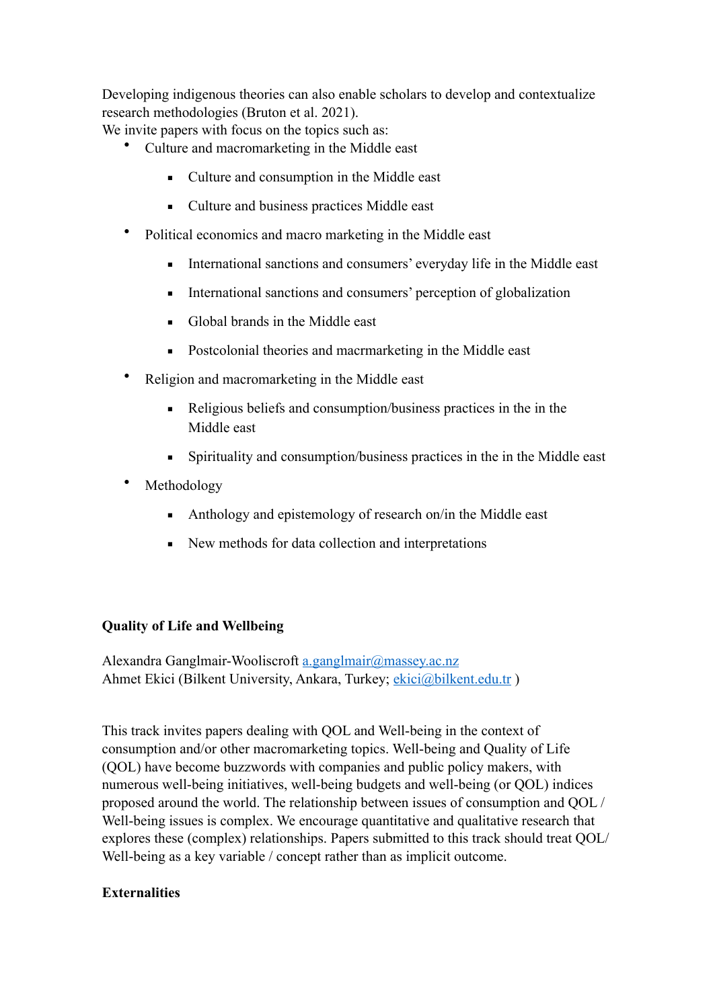Developing indigenous theories can also enable scholars to develop and contextualize research methodologies (Bruton et al. 2021).

We invite papers with focus on the topics such as:

- Culture and macromarketing in the Middle east
	- Culture and consumption in the Middle east
	- Culture and business practices Middle east
- Political economics and macro marketing in the Middle east
	- **•** International sanctions and consumers' everyday life in the Middle east
	- **•** International sanctions and consumers' perception of globalization
	- Global brands in the Middle east
	- Postcolonial theories and macrmarketing in the Middle east
- Religion and macromarketing in the Middle east
	- Religious beliefs and consumption/business practices in the in the Middle east
	- Spirituality and consumption/business practices in the in the Middle east
- **Methodology** 
	- Anthology and epistemology of research on/in the Middle east
	- New methods for data collection and interpretations

# <span id="page-11-0"></span>**Quality of Life and Wellbeing**

Alexandra Ganglmair-Wooliscroft [a.ganglmair@massey.ac.nz](mailto:a.ganglmair@massey.ac.nz) Ahmet Ekici (Bilkent University, Ankara, Turkey; ekici@bilkent.edu.tr)

This track invites papers dealing with QOL and Well-being in the context of consumption and/or other macromarketing topics. Well-being and Quality of Life (QOL) have become buzzwords with companies and public policy makers, with numerous well-being initiatives, well-being budgets and well-being (or QOL) indices proposed around the world. The relationship between issues of consumption and QOL / Well-being issues is complex. We encourage quantitative and qualitative research that explores these (complex) relationships. Papers submitted to this track should treat QOL/ Well-being as a key variable / concept rather than as implicit outcome.

# <span id="page-11-1"></span>**Externalities**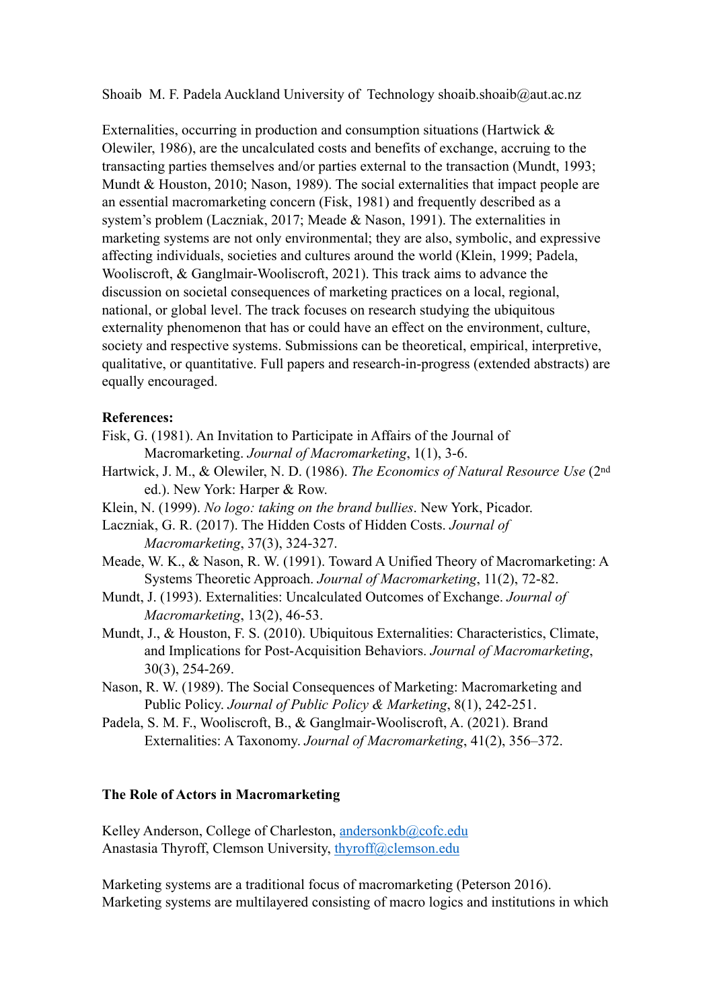Shoaib M. F. Padela Auckland University of Technology shoaib.shoaib@aut.ac.nz

Externalities, occurring in production and consumption situations (Hartwick  $\&$ Olewiler, 1986), are the uncalculated costs and benefits of exchange, accruing to the transacting parties themselves and/or parties external to the transaction (Mundt, 1993; Mundt & Houston, 2010; Nason, 1989). The social externalities that impact people are an essential macromarketing concern (Fisk, 1981) and frequently described as a system's problem (Laczniak, 2017; Meade & Nason, 1991). The externalities in marketing systems are not only environmental; they are also, symbolic, and expressive affecting individuals, societies and cultures around the world (Klein, 1999; Padela, Wooliscroft, & Ganglmair-Wooliscroft, 2021). This track aims to advance the discussion on societal consequences of marketing practices on a local, regional, national, or global level. The track focuses on research studying the ubiquitous externality phenomenon that has or could have an effect on the environment, culture, society and respective systems. Submissions can be theoretical, empirical, interpretive, qualitative, or quantitative. Full papers and research-in-progress (extended abstracts) are equally encouraged.

#### **References:**

- Fisk, G. (1981). An Invitation to Participate in Affairs of the Journal of Macromarketing. *Journal of Macromarketing*, 1(1), 3-6.
- Hartwick, J. M., & Olewiler, N. D. (1986). *The Economics of Natural Resource Use* (2nd ed.). New York: Harper & Row.
- Klein, N. (1999). *No logo: taking on the brand bullies*. New York, Picador.
- Laczniak, G. R. (2017). The Hidden Costs of Hidden Costs. *Journal of Macromarketing*, 37(3), 324-327.
- Meade, W. K., & Nason, R. W. (1991). Toward A Unified Theory of Macromarketing: A Systems Theoretic Approach. *Journal of Macromarketing*, 11(2), 72-82.
- Mundt, J. (1993). Externalities: Uncalculated Outcomes of Exchange. *Journal of Macromarketing*, 13(2), 46-53.
- Mundt, J., & Houston, F. S. (2010). Ubiquitous Externalities: Characteristics, Climate, and Implications for Post-Acquisition Behaviors. *Journal of Macromarketing*, 30(3), 254-269.
- Nason, R. W. (1989). The Social Consequences of Marketing: Macromarketing and Public Policy. *Journal of Public Policy & Marketing*, 8(1), 242-251.
- Padela, S. M. F., Wooliscroft, B., & Ganglmair-Wooliscroft, A. (2021). Brand Externalities: A Taxonomy. *Journal of Macromarketing*, 41(2), 356–372.

# <span id="page-12-0"></span>**The Role of Actors in Macromarketing**

Kelley Anderson, College of Charleston, [andersonkb@cofc.edu](mailto:andersonkb@cofc.edu) Anastasia Thyroff, Clemson University, [thyroff@clemson.edu](mailto:thyroff@clemson.edu)

Marketing systems are a traditional focus of macromarketing (Peterson 2016). Marketing systems are multilayered consisting of macro logics and institutions in which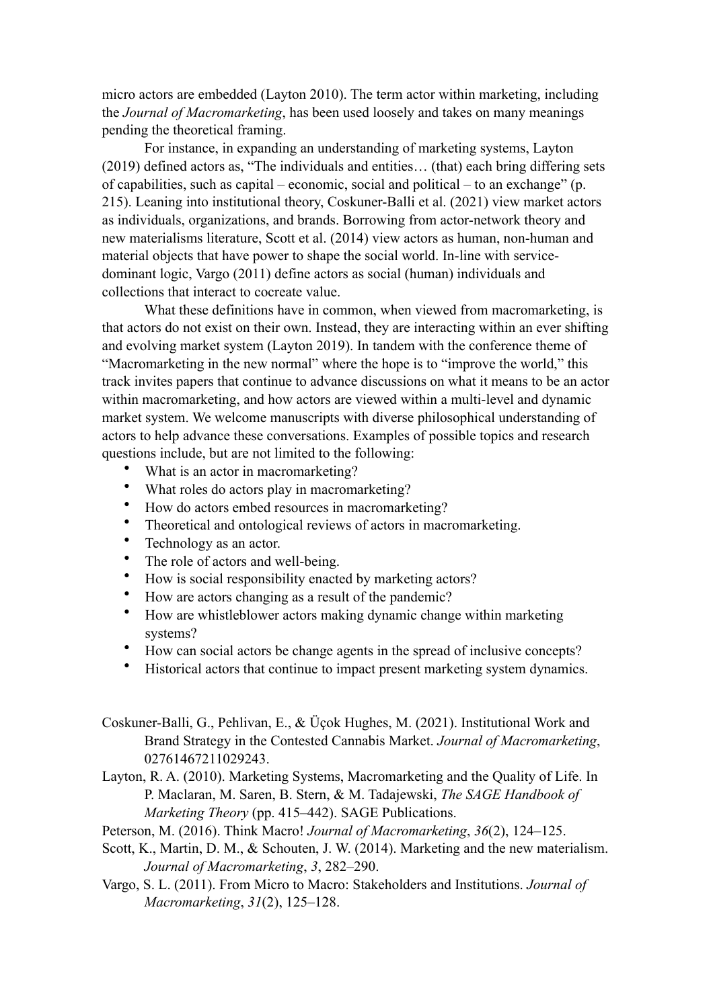micro actors are embedded (Layton 2010). The term actor within marketing, including the *Journal of Macromarketing*, has been used loosely and takes on many meanings pending the theoretical framing.

For instance, in expanding an understanding of marketing systems, Layton (2019) defined actors as, "The individuals and entities… (that) each bring differing sets of capabilities, such as capital – economic, social and political – to an exchange" (p. 215). Leaning into institutional theory, Coskuner-Balli et al. (2021) view market actors as individuals, organizations, and brands. Borrowing from actor-network theory and new materialisms literature, Scott et al. (2014) view actors as human, non-human and material objects that have power to shape the social world. In-line with servicedominant logic, Vargo (2011) define actors as social (human) individuals and collections that interact to cocreate value.

What these definitions have in common, when viewed from macromarketing, is that actors do not exist on their own. Instead, they are interacting within an ever shifting and evolving market system (Layton 2019). In tandem with the conference theme of "Macromarketing in the new normal" where the hope is to "improve the world," this track invites papers that continue to advance discussions on what it means to be an actor within macromarketing, and how actors are viewed within a multi-level and dynamic market system. We welcome manuscripts with diverse philosophical understanding of actors to help advance these conversations. Examples of possible topics and research questions include, but are not limited to the following:

- What is an actor in macromarketing?
- What roles do actors play in macromarketing?
- How do actors embed resources in macromarketing?
- Theoretical and ontological reviews of actors in macromarketing.
- Technology as an actor.
- The role of actors and well-being.
- How is social responsibility enacted by marketing actors?
- How are actors changing as a result of the pandemic?
- How are whistleblower actors making dynamic change within marketing systems?
- How can social actors be change agents in the spread of inclusive concepts?
- Historical actors that continue to impact present marketing system dynamics.

Coskuner-Balli, G., Pehlivan, E., & Üçok Hughes, M. (2021). Institutional Work and Brand Strategy in the Contested Cannabis Market. *Journal of Macromarketing*, 02761467211029243.

Layton, R. A. (2010). Marketing Systems, Macromarketing and the Quality of Life. In P. Maclaran, M. Saren, B. Stern, & M. Tadajewski, *The SAGE Handbook of Marketing Theory* (pp. 415–442). SAGE Publications.

Peterson, M. (2016). Think Macro! *Journal of Macromarketing*, *36*(2), 124–125.

- Scott, K., Martin, D. M., & Schouten, J. W. (2014). Marketing and the new materialism. *Journal of Macromarketing*, *3*, 282–290.
- Vargo, S. L. (2011). From Micro to Macro: Stakeholders and Institutions. *Journal of Macromarketing*, *31*(2), 125–128.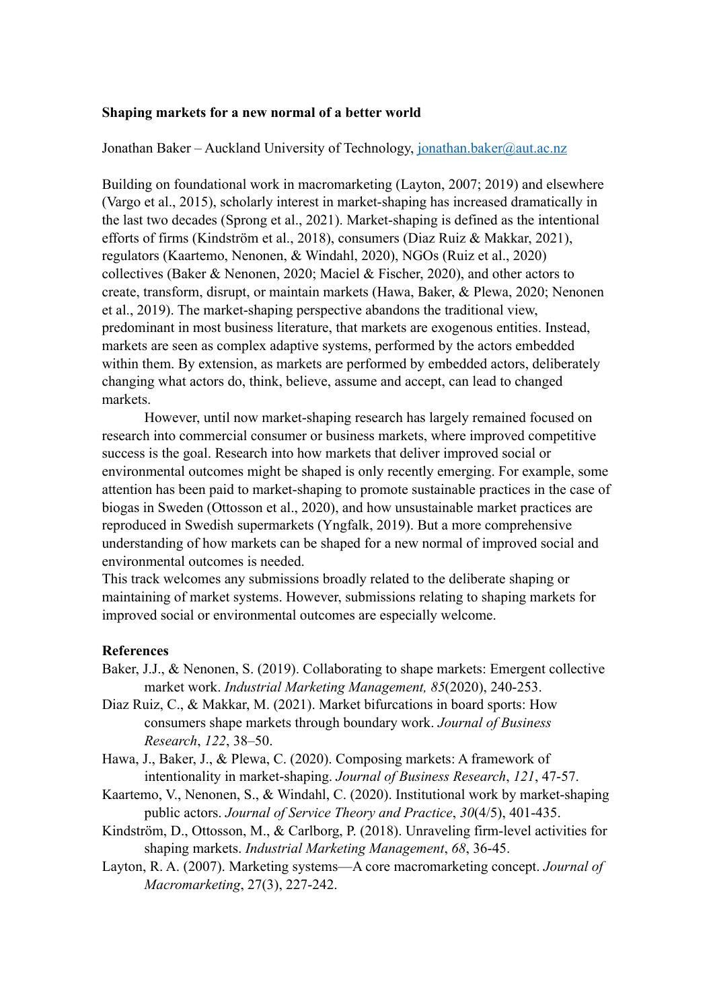### <span id="page-14-0"></span>**Shaping markets for a new normal of a better world**

#### Jonathan Baker – Auckland University of Technology, [jonathan.baker@aut.ac.nz](mailto:jonathan.baker@aut.ac.nz)

Building on foundational work in macromarketing (Layton, 2007; 2019) and elsewhere (Vargo et al., 2015), scholarly interest in market-shaping has increased dramatically in the last two decades (Sprong et al., 2021). Market-shaping is defined as the intentional efforts of firms (Kindström et al., 2018), consumers (Diaz Ruiz & Makkar, 2021), regulators (Kaartemo, Nenonen, & Windahl, 2020), NGOs (Ruiz et al., 2020) collectives (Baker & Nenonen, 2020; Maciel & Fischer, 2020), and other actors to create, transform, disrupt, or maintain markets (Hawa, Baker, & Plewa, 2020; Nenonen et al., 2019). The market-shaping perspective abandons the traditional view, predominant in most business literature, that markets are exogenous entities. Instead, markets are seen as complex adaptive systems, performed by the actors embedded within them. By extension, as markets are performed by embedded actors, deliberately changing what actors do, think, believe, assume and accept, can lead to changed markets.

However, until now market-shaping research has largely remained focused on research into commercial consumer or business markets, where improved competitive success is the goal. Research into how markets that deliver improved social or environmental outcomes might be shaped is only recently emerging. For example, some attention has been paid to market-shaping to promote sustainable practices in the case of biogas in Sweden (Ottosson et al., 2020), and how unsustainable market practices are reproduced in Swedish supermarkets (Yngfalk, 2019). But a more comprehensive understanding of how markets can be shaped for a new normal of improved social and environmental outcomes is needed.

This track welcomes any submissions broadly related to the deliberate shaping or maintaining of market systems. However, submissions relating to shaping markets for improved social or environmental outcomes are especially welcome.

#### **References**

- Baker, J.J., & Nenonen, S. (2019). Collaborating to shape markets: Emergent collective market work. *Industrial Marketing Management, 85*(2020), 240-253.
- Diaz Ruiz, C., & Makkar, M. (2021). Market bifurcations in board sports: How consumers shape markets through boundary work. *Journal of Business Research*, *122*, 38–50.
- Hawa, J., Baker, J., & Plewa, C. (2020). Composing markets: A framework of intentionality in market-shaping. *Journal of Business Research*, *121*, 47-57.
- Kaartemo, V., Nenonen, S., & Windahl, C. (2020). Institutional work by market-shaping public actors. *Journal of Service Theory and Practice*, *30*(4/5), 401-435.
- Kindström, D., Ottosson, M., & Carlborg, P. (2018). Unraveling firm-level activities for shaping markets. *Industrial Marketing Management*, *68*, 36-45.
- Layton, R. A. (2007). Marketing systems—A core macromarketing concept. *Journal of Macromarketing*, 27(3), 227-242.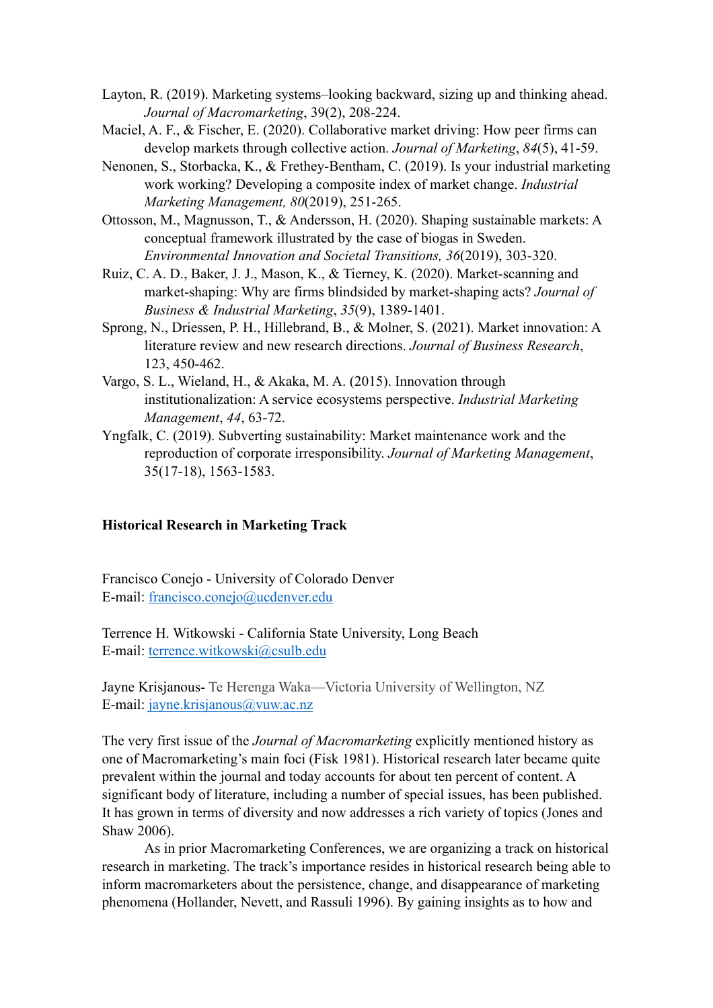- Layton, R. (2019). Marketing systems–looking backward, sizing up and thinking ahead. *Journal of Macromarketing*, 39(2), 208-224.
- Maciel, A. F., & Fischer, E. (2020). Collaborative market driving: How peer firms can develop markets through collective action. *Journal of Marketing*, *84*(5), 41-59.
- Nenonen, S., Storbacka, K., & Frethey-Bentham, C. (2019). Is your industrial marketing work working? Developing a composite index of market change. *Industrial Marketing Management, 80*(2019), 251-265.
- Ottosson, M., Magnusson, T., & Andersson, H. (2020). Shaping sustainable markets: A conceptual framework illustrated by the case of biogas in Sweden. *Environmental Innovation and Societal Transitions, 36*(2019), 303-320.
- Ruiz, C. A. D., Baker, J. J., Mason, K., & Tierney, K. (2020). Market-scanning and market-shaping: Why are firms blindsided by market-shaping acts? *Journal of Business & Industrial Marketing*, *35*(9), 1389-1401.
- Sprong, N., Driessen, P. H., Hillebrand, B., & Molner, S. (2021). Market innovation: A literature review and new research directions. *Journal of Business Research*, 123, 450-462.
- Vargo, S. L., Wieland, H., & Akaka, M. A. (2015). Innovation through institutionalization: A service ecosystems perspective. *Industrial Marketing Management*, *44*, 63-72.
- Yngfalk, C. (2019). Subverting sustainability: Market maintenance work and the reproduction of corporate irresponsibility. *Journal of Marketing Management*, 35(17-18), 1563-1583.

#### <span id="page-15-0"></span>**Historical Research in Marketing Track**

Francisco Conejo - University of Colorado Denver E-mail: [francisco.conejo@ucdenver.edu](mailto:francisco.conejo@ucdenver.edu)

Terrence H. Witkowski - California State University, Long Beach E-mail: [terrence.witkowski@csulb.edu](mailto:terrence.witkowski@csulb.edu)

Jayne Krisjanous- Te Herenga Waka—Victoria University of Wellington, NZ E-mail: [jayne.krisjanous@vuw.ac.nz](mailto:jayne.krisjanous@vuw.ac.nz)

The very first issue of the *Journal of Macromarketing* explicitly mentioned history as one of Macromarketing's main foci (Fisk 1981). Historical research later became quite prevalent within the journal and today accounts for about ten percent of content. A significant body of literature, including a number of special issues, has been published. It has grown in terms of diversity and now addresses a rich variety of topics (Jones and Shaw 2006).

As in prior Macromarketing Conferences, we are organizing a track on historical research in marketing. The track's importance resides in historical research being able to inform macromarketers about the persistence, change, and disappearance of marketing phenomena (Hollander, Nevett, and Rassuli 1996). By gaining insights as to how and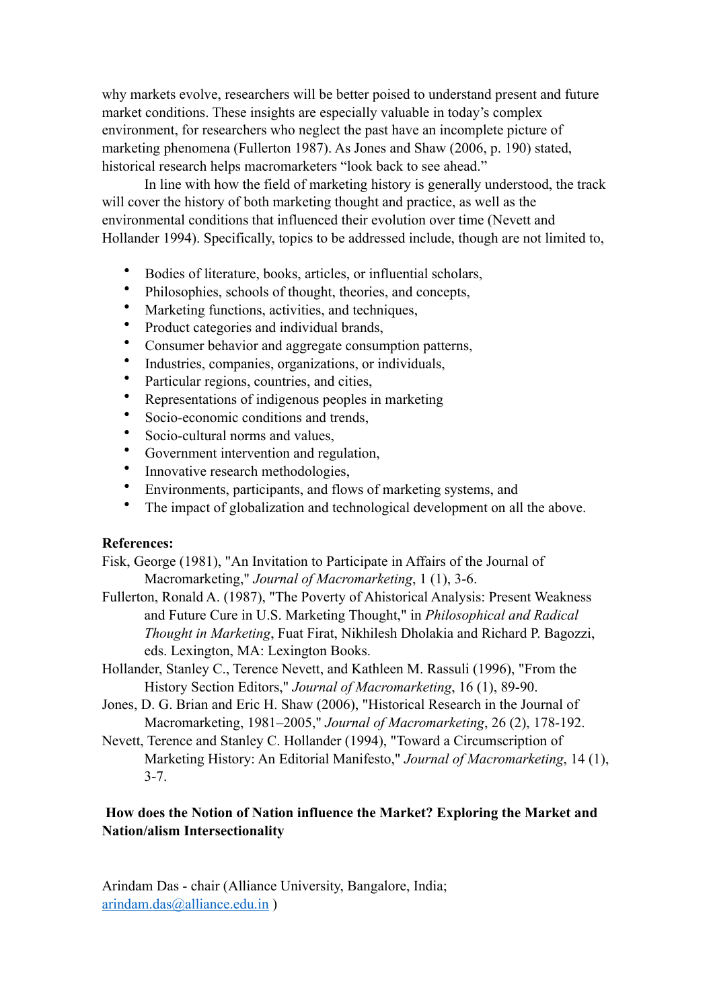why markets evolve, researchers will be better poised to understand present and future market conditions. These insights are especially valuable in today's complex environment, for researchers who neglect the past have an incomplete picture of marketing phenomena (Fullerton 1987). As Jones and Shaw (2006, p. 190) stated, historical research helps macromarketers "look back to see ahead."

In line with how the field of marketing history is generally understood, the track will cover the history of both marketing thought and practice, as well as the environmental conditions that influenced their evolution over time (Nevett and Hollander 1994). Specifically, topics to be addressed include, though are not limited to,

- Bodies of literature, books, articles, or influential scholars,
- Philosophies, schools of thought, theories, and concepts,
- Marketing functions, activities, and techniques,
- Product categories and individual brands,
- Consumer behavior and aggregate consumption patterns,
- Industries, companies, organizations, or individuals,
- Particular regions, countries, and cities,
- Representations of indigenous peoples in marketing
- Socio-economic conditions and trends,
- Socio-cultural norms and values.
- Government intervention and regulation,
- Innovative research methodologies,
- Environments, participants, and flows of marketing systems, and
- The impact of globalization and technological development on all the above.

# **References:**

Fisk, George (1981), "An Invitation to Participate in Affairs of the Journal of Macromarketing," *Journal of Macromarketing*, 1 (1), 3-6.

- Fullerton, Ronald A. (1987), "The Poverty of Ahistorical Analysis: Present Weakness and Future Cure in U.S. Marketing Thought," in *Philosophical and Radical Thought in Marketing*, Fuat Firat, Nikhilesh Dholakia and Richard P. Bagozzi, eds. Lexington, MA: Lexington Books.
- Hollander, Stanley C., Terence Nevett, and Kathleen M. Rassuli (1996), "From the History Section Editors," *Journal of Macromarketing*, 16 (1), 89-90.
- Jones, D. G. Brian and Eric H. Shaw (2006), "Historical Research in the Journal of Macromarketing, 1981–2005," *Journal of Macromarketing*, 26 (2), 178-192.
- Nevett, Terence and Stanley C. Hollander (1994), "Toward a Circumscription of Marketing History: An Editorial Manifesto," *Journal of Macromarketing*, 14 (1), 3-7.

# **How does the Notion of Nation influence the Market? Exploring the Market and Nation/alism Intersectionality**

Arindam Das - chair (Alliance University, Bangalore, India; [arindam.das@alliance.edu.in](mailto:arindam.das@alliance.edu.in) )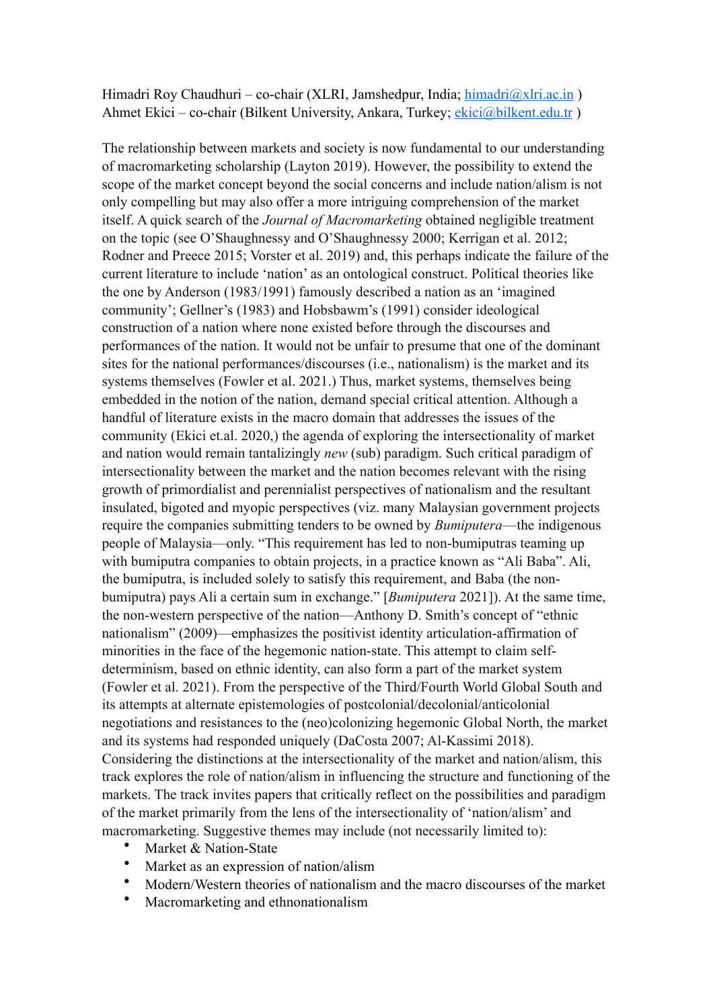Himadri Roy Chaudhuri – co-chair (XLRI, Jamshedpur, India; himadri@xlri.ac.in) Ahmet Ekici – co-chair (Bilkent University, Ankara, Turkey; [ekici@bilkent.edu.tr](mailto:ekici@bilkent.edu.tr) )

The relationship between markets and society is now fundamental to our understanding of macromarketing scholarship (Layton 2019). However, the possibility to extend the scope of the market concept beyond the social concerns and include nation/alism is not only compelling but may also offer a more intriguing comprehension of the market itself. A quick search of the *Journal of Macromarketing* obtained negligible treatment on the topic (see O'Shaughnessy and O'Shaughnessy 2000; Kerrigan et al. 2012; Rodner and Preece 2015; Vorster et al. 2019) and, this perhaps indicate the failure of the current literature to include 'nation' as an ontological construct. Political theories like the one by Anderson (1983/1991) famously described a nation as an 'imagined community'; Gellner's (1983) and Hobsbawm's (1991) consider ideological construction of a nation where none existed before through the discourses and performances of the nation. It would not be unfair to presume that one of the dominant sites for the national performances/discourses (i.e., nationalism) is the market and its systems themselves (Fowler et al. 2021.) Thus, market systems, themselves being embedded in the notion of the nation, demand special critical attention. Although a handful of literature exists in the macro domain that addresses the issues of the community (Ekici et.al. 2020,) the agenda of exploring the intersectionality of market and nation would remain tantalizingly *new* (sub) paradigm. Such critical paradigm of intersectionality between the market and the nation becomes relevant with the rising growth of primordialist and perennialist perspectives of nationalism and the resultant insulated, bigoted and myopic perspectives (viz. many Malaysian government projects require the companies submitting tenders to be owned by *Bumiputera*—the indigenous people of Malaysia—only. "This requirement has led to non-bumiputras teaming up with bumiputra companies to obtain projects, in a practice known as "Ali Baba". Ali, the bumiputra, is included solely to satisfy this requirement, and Baba (the nonbumiputra) pays Ali a certain sum in exchange." [*Bumiputera* 2021]). At the same time, the non-western perspective of the nation—Anthony D. Smith's concept of "ethnic nationalism" (2009)—emphasizes the positivist identity articulation-affirmation of minorities in the face of the hegemonic nation-state. This attempt to claim selfdeterminism, based on ethnic identity, can also form a part of the market system (Fowler et al. 2021). From the perspective of the Third/Fourth World Global South and its attempts at alternate epistemologies of postcolonial/decolonial/anticolonial negotiations and resistances to the (neo)colonizing hegemonic Global North, the market and its systems had responded uniquely (DaCosta 2007; Al-Kassimi 2018). Considering the distinctions at the intersectionality of the market and nation/alism, this track explores the role of nation/alism in influencing the structure and functioning of the markets. The track invites papers that critically reflect on the possibilities and paradigm of the market primarily from the lens of the intersectionality of 'nation/alism' and macromarketing. Suggestive themes may include (not necessarily limited to):

- Market & Nation-State
- Market as an expression of nation/alism
- Modern/Western theories of nationalism and the macro discourses of the market
- Macromarketing and ethnonationalism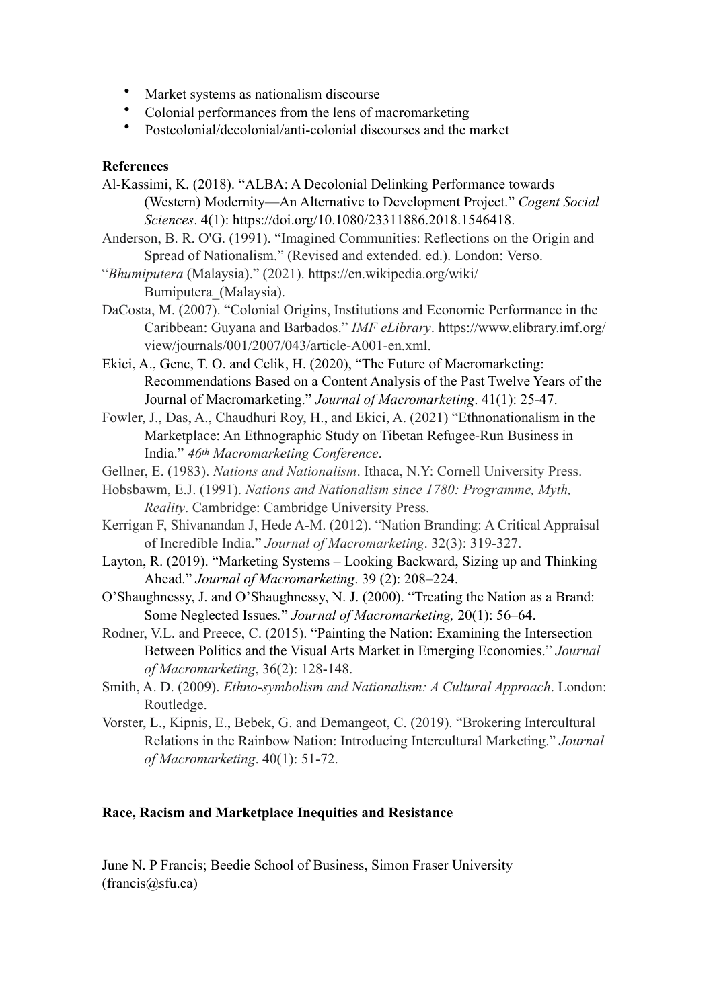- Market systems as nationalism discourse
- Colonial performances from the lens of macromarketing
- Postcolonial/decolonial/anti-colonial discourses and the market

### **References**

- Al-Kassimi, K. (2018). "ALBA: A Decolonial Delinking Performance towards (Western) Modernity—An Alternative to Development Project." *Cogent Social Sciences*. 4(1): https://doi.org/10.1080/23311886.2018.1546418.
- Anderson, B. R. O'G. (1991). "Imagined Communities: Reflections on the Origin and Spread of Nationalism." (Revised and extended. ed.). London: Verso.
- "*Bhumiputera* (Malaysia)." (2021). https://en.wikipedia.org/wiki/ Bumiputera\_(Malaysia).
- DaCosta, M. (2007). "Colonial Origins, Institutions and Economic Performance in the Caribbean: Guyana and Barbados." *IMF eLibrary*. https://www.elibrary.imf.org/ view/journals/001/2007/043/article-A001-en.xml.
- Ekici, A., Genc, T. O. and Celik, H. (2020), "The Future of Macromarketing: Recommendations Based on a Content Analysis of the Past Twelve Years of the Journal of Macromarketing." *Journal of Macromarketing*. 41(1): 25-47.
- Fowler, J., Das, A., Chaudhuri Roy, H., and Ekici, A. (2021) "Ethnonationalism in the Marketplace: An Ethnographic Study on Tibetan Refugee-Run Business in India." *46th Macromarketing Conference*.
- Gellner, E. (1983). *Nations and Nationalism*. Ithaca, N.Y: Cornell University Press.
- Hobsbawm, E.J. (1991). *Nations and Nationalism since 1780: Programme, Myth, Reality*. Cambridge: Cambridge University Press.
- Kerrigan F, Shivanandan J, Hede A-M. (2012). "Nation Branding: A Critical Appraisal of Incredible India." *Journal of Macromarketing*. 32(3): 319-327.
- Layton, R. (2019). "Marketing Systems Looking Backward, Sizing up and Thinking Ahead." *Journal of Macromarketing*. 39 (2): 208–224.
- O'Shaughnessy, J. and O'Shaughnessy, N. J. (2000). "Treating the Nation as a Brand: Some Neglected Issues*.*" *Journal of Macromarketing,* 20(1): 56–64.
- Rodner, V.L. and Preece, C. (2015). "Painting the Nation: Examining the Intersection Between Politics and the Visual Arts Market in Emerging Economies." *Journal of Macromarketing*, 36(2): 128-148.
- Smith, A. D. (2009). *Ethno-symbolism and Nationalism: A Cultural Approach*. London: Routledge.
- Vorster, L., Kipnis, E., Bebek, G. and Demangeot, C. (2019). "Brokering Intercultural Relations in the Rainbow Nation: Introducing Intercultural Marketing." *Journal of Macromarketing*. 40(1): 51-72.

### <span id="page-18-1"></span>**Race, Racism and Marketplace Inequities and Resistance**

<span id="page-18-0"></span>June N. P Francis; Beedie School of Business, Simon Fraser University  $(francis(\omega s)$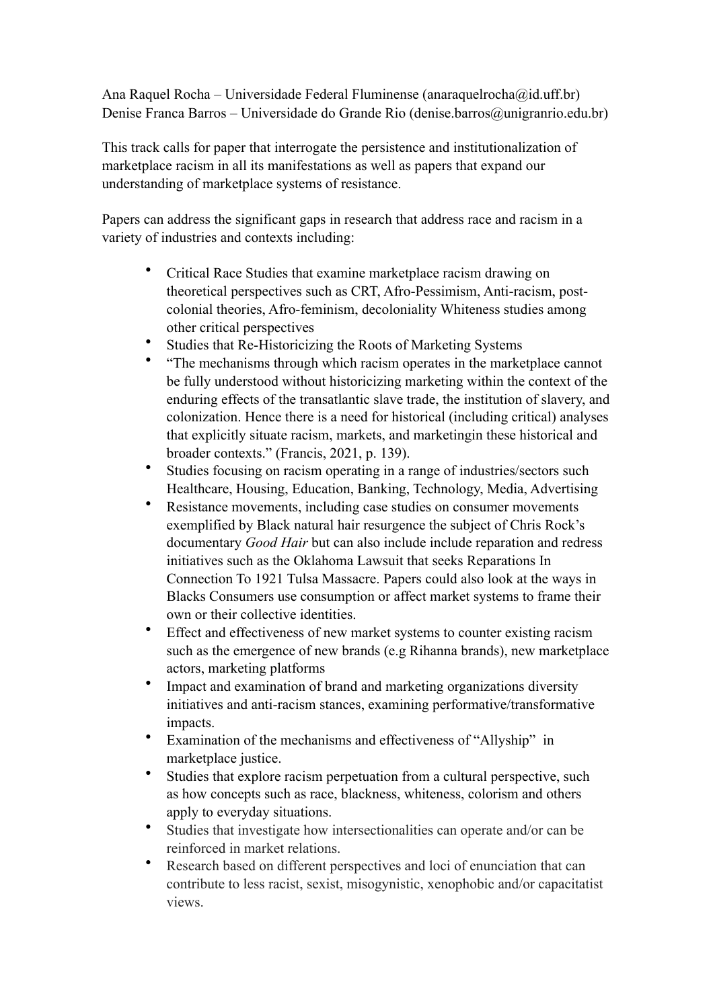Ana Raquel Rocha – Universidade Federal Fluminense (anaraquelrocha $\omega$ id.uff.br) Denise Franca Barros – Universidade do Grande Rio (denise.barros@unigranrio.edu.br)

This track calls for paper that interrogate the persistence and institutionalization of marketplace racism in all its manifestations as well as papers that expand our understanding of marketplace systems of resistance.

Papers can address the significant gaps in research that address race and racism in a variety of industries and contexts including:

- Critical Race Studies that examine marketplace racism drawing on theoretical perspectives such as CRT, Afro-Pessimism, Anti-racism, postcolonial theories, Afro-feminism, decoloniality Whiteness studies among other critical perspectives
- Studies that Re-Historicizing the Roots of Marketing Systems
- "The mechanisms through which racism operates in the marketplace cannot be fully understood without historicizing marketing within the context of the enduring effects of the transatlantic slave trade, the institution of slavery, and colonization. Hence there is a need for historical (including critical) analyses that explicitly situate racism, markets, and marketingin these historical and broader contexts." (Francis, 2021, p. 139).
- Studies focusing on racism operating in a range of industries/sectors such Healthcare, Housing, Education, Banking, Technology, Media, Advertising
- Resistance movements, including case studies on consumer movements exemplified by Black natural hair resurgence the subject of Chris Rock's documentary *Good Hair* but can also include include reparation and redress initiatives such as the Oklahoma Lawsuit that seeks Reparations In Connection To 1921 Tulsa Massacre. Papers could also look at the ways in Blacks Consumers use consumption or affect market systems to frame their own or their collective identities.
- Effect and effectiveness of new market systems to counter existing racism such as the emergence of new brands (e.g Rihanna brands), new marketplace actors, marketing platforms
- Impact and examination of brand and marketing organizations diversity initiatives and anti-racism stances, examining performative/transformative impacts.
- Examination of the mechanisms and effectiveness of "Allyship" in marketplace justice.
- Studies that explore racism perpetuation from a cultural perspective, such as how concepts such as race, blackness, whiteness, colorism and others apply to everyday situations.
- Studies that investigate how intersectionalities can operate and/or can be reinforced in market relations.
- Research based on different perspectives and loci of enunciation that can contribute to less racist, sexist, misogynistic, xenophobic and/or capacitatist views.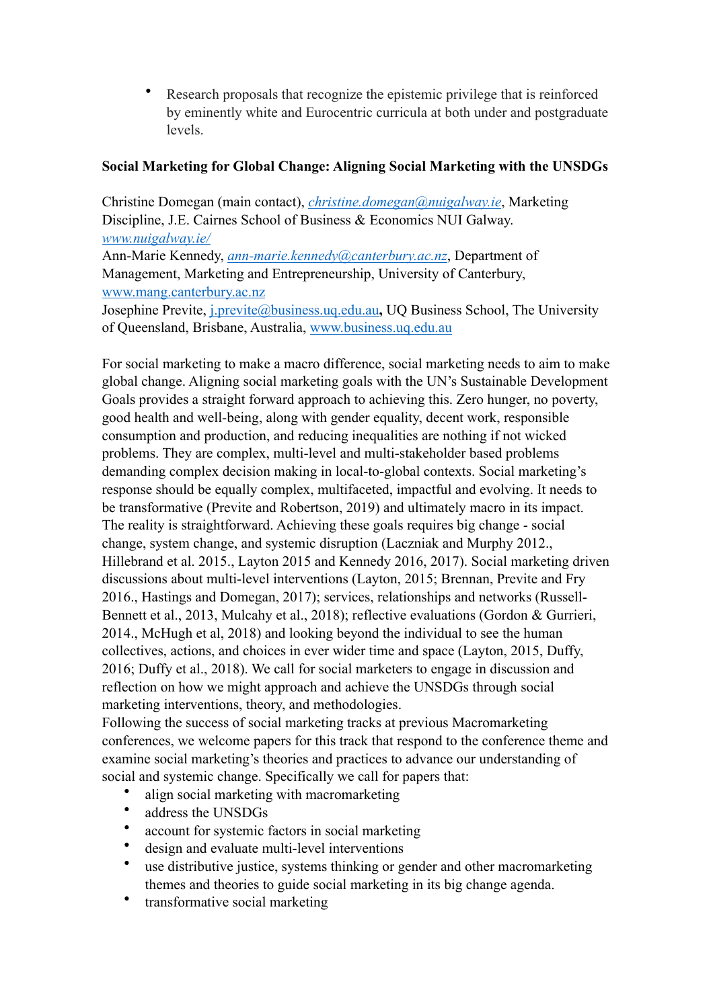• Research proposals that recognize the epistemic privilege that is reinforced by eminently white and Eurocentric curricula at both under and postgraduate levels.

# <span id="page-20-0"></span>**Social Marketing for Global Change: Aligning Social Marketing with the UNSDGs**

Christine Domegan (main contact), *[christine.domegan@nuigalway.ie](mailto:christine.domegan@nuigalway.ie)*, Marketing Discipline, J.E. Cairnes School of Business & Economics NUI Galway. *[www.nuigalway.ie/](http://www.nuigalway.ie/)* Ann-Marie Kennedy, *[ann-marie.kennedy@canterbury.ac.nz](mailto:ann-marie.kennedy@canterbury.ac.nz)*, Department of Management, Marketing and Entrepreneurship, University of Canterbury, [www.mang.canterbury.ac.nz](http://www.mang.canterbury.ac.nz)

Josephine Previte, [j.previte@business.uq.edu.au](mailto:j.previte@business.uq.edu.au)**,** UQ Business School, The University of Queensland, Brisbane, Australia, [www.business.uq.edu.au](http://www.business.uq.edu.au)

For social marketing to make a macro difference, social marketing needs to aim to make global change. Aligning social marketing goals with the UN's Sustainable Development Goals provides a straight forward approach to achieving this. Zero hunger, no poverty, good health and well-being, along with gender equality, decent work, responsible consumption and production, and reducing inequalities are nothing if not wicked problems. They are complex, multi-level and multi-stakeholder based problems demanding complex decision making in local-to-global contexts. Social marketing's response should be equally complex, multifaceted, impactful and evolving. It needs to be transformative (Previte and Robertson, 2019) and ultimately macro in its impact. The reality is straightforward. Achieving these goals requires big change - social change, system change, and systemic disruption (Laczniak and Murphy 2012., Hillebrand et al. 2015., Layton 2015 and Kennedy 2016, 2017). Social marketing driven discussions about multi-level interventions (Layton, 2015; Brennan, Previte and Fry 2016., Hastings and Domegan, 2017); services, relationships and networks (Russell-Bennett et al., 2013, Mulcahy et al., 2018); reflective evaluations (Gordon & Gurrieri, 2014., McHugh et al, 2018) and looking beyond the individual to see the human collectives, actions, and choices in ever wider time and space (Layton, 2015, Duffy, 2016; Duffy et al., 2018). We call for social marketers to engage in discussion and reflection on how we might approach and achieve the UNSDGs through social marketing interventions, theory, and methodologies.

Following the success of social marketing tracks at previous Macromarketing conferences, we welcome papers for this track that respond to the conference theme and examine social marketing's theories and practices to advance our understanding of social and systemic change. Specifically we call for papers that:

- align social marketing with macromarketing
- address the UNSDGs
- account for systemic factors in social marketing
- design and evaluate multi-level interventions
- use distributive justice, systems thinking or gender and other macromarketing themes and theories to guide social marketing in its big change agenda.
- transformative social marketing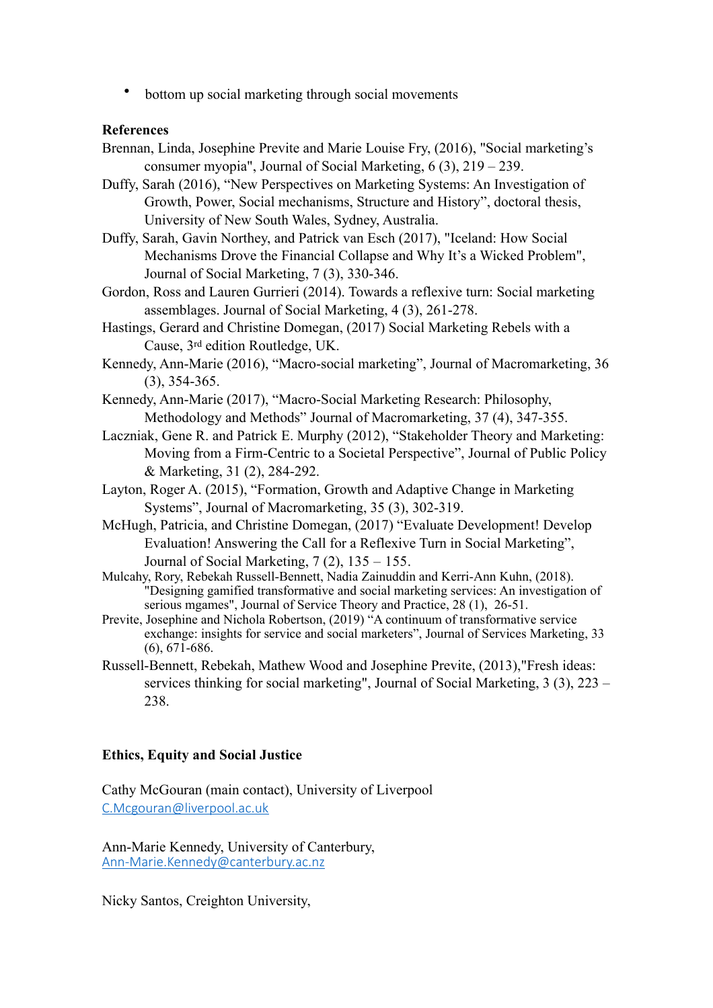• bottom up social marketing through social movements

### **References**

- Brennan, Linda, Josephine Previte and Marie Louise Fry, (2016), "Social marketing's consumer myopia", Journal of Social Marketing, 6 (3), 219 – 239.
- Duffy, Sarah (2016), "New Perspectives on Marketing Systems: An Investigation of Growth, Power, Social mechanisms, Structure and History", doctoral thesis, University of New South Wales, Sydney, Australia.
- Duffy, Sarah, Gavin Northey, and Patrick van Esch (2017), "Iceland: How Social Mechanisms Drove the Financial Collapse and Why It's a Wicked Problem", Journal of Social Marketing, 7 (3), 330-346.

Gordon, Ross and Lauren Gurrieri (2014). Towards a reflexive turn: Social marketing assemblages. Journal of Social Marketing, 4 (3), 261-278.

Hastings, Gerard and Christine Domegan, (2017) Social Marketing Rebels with a Cause, 3rd edition Routledge, UK.

Kennedy, Ann-Marie (2016), "Macro-social marketing", Journal of Macromarketing, 36 (3), 354-365.

- Kennedy, Ann-Marie (2017), "Macro-Social Marketing Research: Philosophy, Methodology and Methods" Journal of Macromarketing, 37 (4), 347-355.
- Laczniak, Gene R. and Patrick E. Murphy (2012), "Stakeholder Theory and Marketing: Moving from a Firm-Centric to a Societal Perspective", Journal of Public Policy & Marketing, 31 (2), 284-292.
- Layton, Roger A. (2015), "Formation, Growth and Adaptive Change in Marketing Systems", Journal of Macromarketing, 35 (3), 302-319.
- McHugh, Patricia, and Christine Domegan, (2017) "Evaluate Development! Develop Evaluation! Answering the Call for a Reflexive Turn in Social Marketing", Journal of Social Marketing,  $7(2)$ ,  $135 - 155$ .
- Mulcahy, Rory, Rebekah Russell-Bennett, Nadia Zainuddin and Kerri-Ann Kuhn, (2018). "Designing gamified transformative and social marketing services: An investigation of serious mgames", Journal of Service Theory and Practice, 28 (1), 26-51.
- Previte, Josephine and Nichola Robertson, (2019) "A continuum of transformative service exchange: insights for service and social marketers", Journal of Services Marketing, 33 (6), 671-686.
- Russell-Bennett, Rebekah, Mathew Wood and Josephine Previte, (2013),"Fresh ideas: services thinking for social marketing", Journal of Social Marketing, 3 (3), 223 – 238.

### <span id="page-21-0"></span>**Ethics, Equity and Social Justice**

Cathy McGouran (main contact), University of Liverpool [C.Mcgouran@liverpool.ac.uk](mailto:C.Mcgouran@liverpool.ac.uk)

Ann-Marie Kennedy, University of Canterbury, [Ann-Marie.Kennedy@canterbury.ac.nz](mailto:Ann-Marie.Kennedy@canterbury.ac.nz)

Nicky Santos, Creighton University,